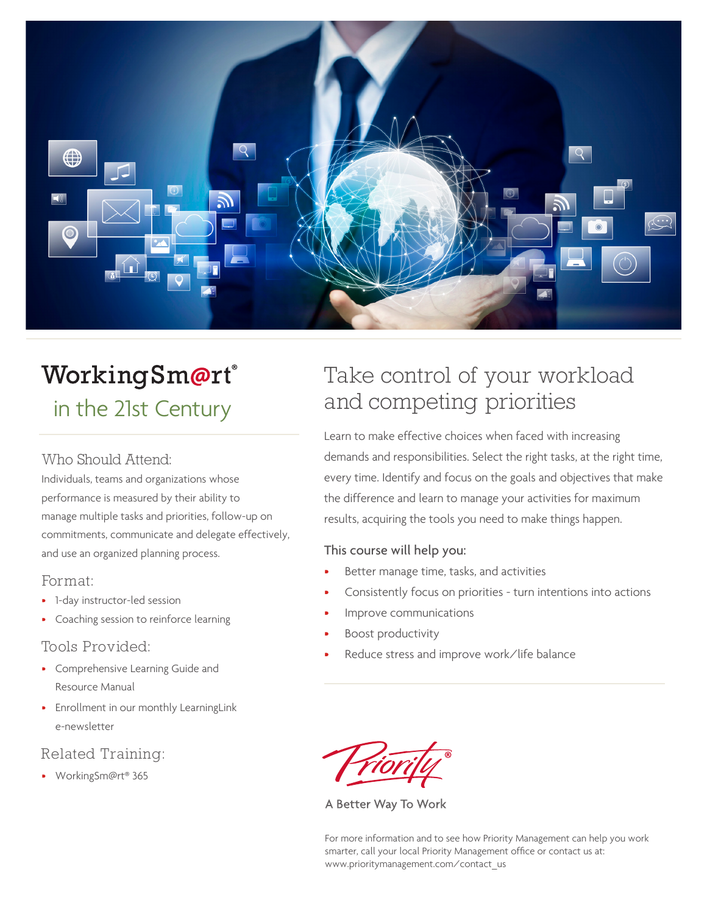

# WorkingSm@rt® in the 21st Century

#### Who Should Attend:

Individuals, teams and organizations whose performance is measured by their ability to manage multiple tasks and priorities, follow-up on commitments, communicate and delegate effectively, and use an organized planning process.

#### Format:

- 1-day instructor-led session
- Coaching session to reinforce learning

#### Tools Provided:

- Comprehensive Learning Guide and Resource Manual
- Enrollment in our monthly LearningLink e-newsletter

## Related Training:

• WorkingSm@rt® 365

# Take control of your workload and competing priorities

Learn to make effective choices when faced with increasing demands and responsibilities. Select the right tasks, at the right time, every time. Identify and focus on the goals and objectives that make the difference and learn to manage your activities for maximum results, acquiring the tools you need to make things happen.

#### This course will help you:

- Better manage time, tasks, and activities
- Consistently focus on priorities turn intentions into actions
- Improve communications
- Boost productivity
- Reduce stress and improve work/life balance

A Better Way To Work

For more information and to see how Priority Management can help you work smarter, call your local Priority Management office or contact us at: www.prioritymanagement.com/contact\_us